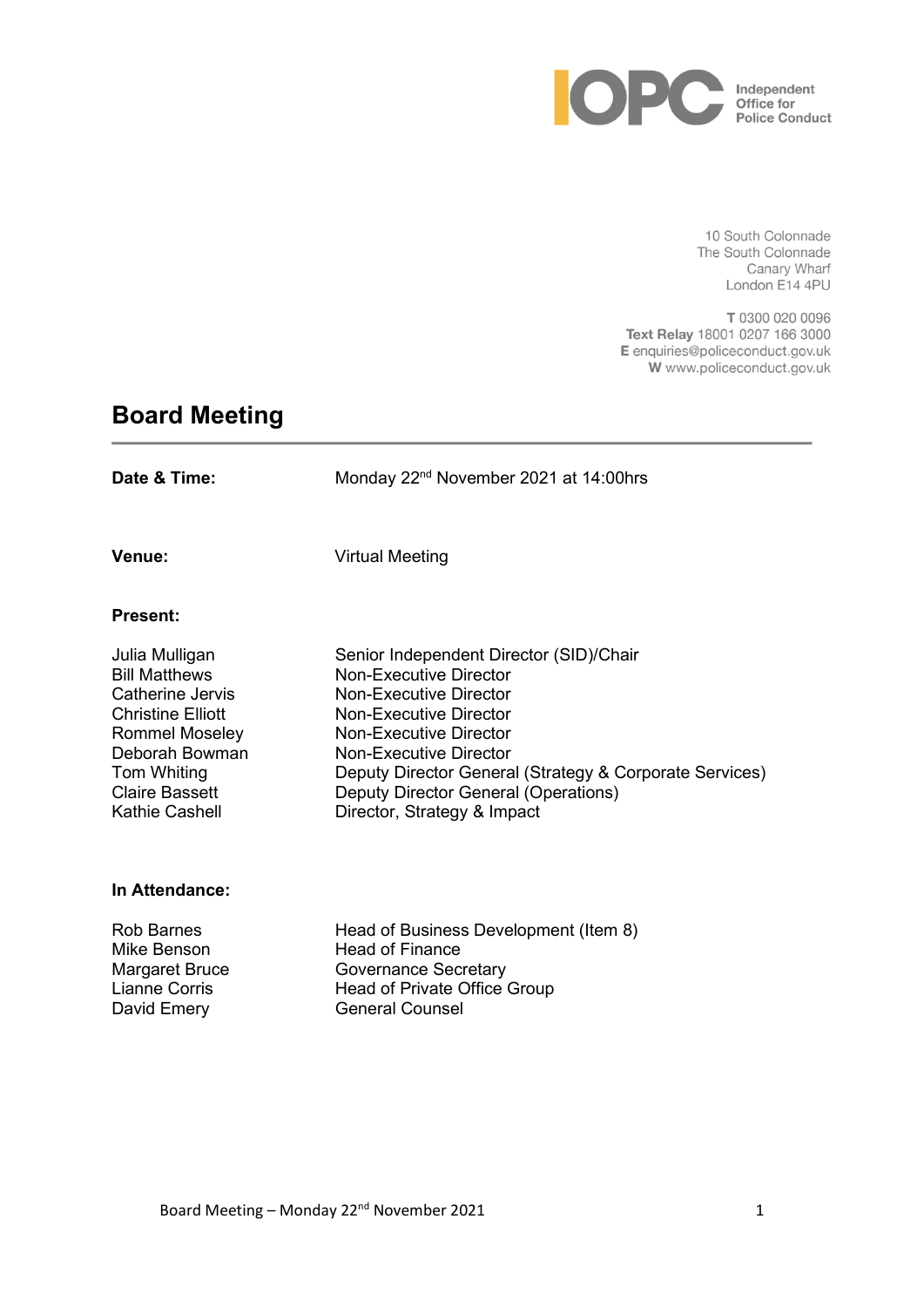

10 South Colonnade The South Colonnade Canary Wharf London E14 4PU

T 0300 020 0096 Text Relay 18001 0207 166 3000 E enquiries@policeconduct.gov.uk W www.policeconduct.gov.uk

# **Board Meeting**

| Date & Time:                                                                                                                                                                         | Monday 22 <sup>nd</sup> November 2021 at 14:00hrs                                                                                                                                                                                                                                                                                |
|--------------------------------------------------------------------------------------------------------------------------------------------------------------------------------------|----------------------------------------------------------------------------------------------------------------------------------------------------------------------------------------------------------------------------------------------------------------------------------------------------------------------------------|
| Venue:                                                                                                                                                                               | <b>Virtual Meeting</b>                                                                                                                                                                                                                                                                                                           |
| <b>Present:</b>                                                                                                                                                                      |                                                                                                                                                                                                                                                                                                                                  |
| Julia Mulligan<br><b>Bill Matthews</b><br>Catherine Jervis<br><b>Christine Elliott</b><br>Rommel Moseley<br>Deborah Bowman<br>Tom Whiting<br><b>Claire Bassett</b><br>Kathie Cashell | Senior Independent Director (SID)/Chair<br><b>Non-Executive Director</b><br><b>Non-Executive Director</b><br>Non-Executive Director<br><b>Non-Executive Director</b><br>Non-Executive Director<br>Deputy Director General (Strategy & Corporate Services)<br>Deputy Director General (Operations)<br>Director, Strategy & Impact |
| In Attendance:                                                                                                                                                                       |                                                                                                                                                                                                                                                                                                                                  |

Rob Barnes **Head of Business Development (Item 8)** Mike Benson Head of Finance Margaret Bruce **Governance Secretary** Lianne Corris **Head of Private Office Group** David Emery General Counsel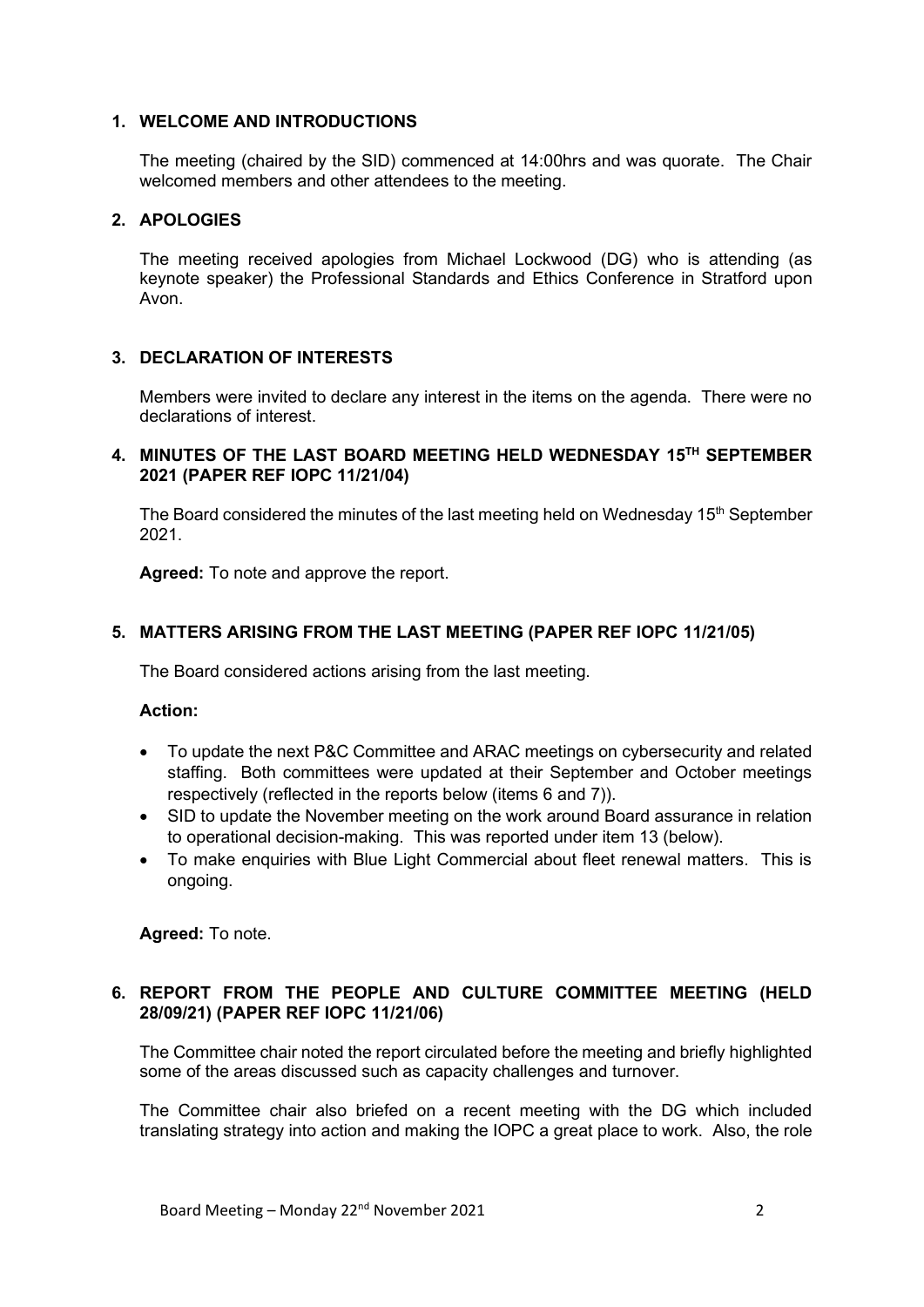#### **1. WELCOME AND INTRODUCTIONS**

The meeting (chaired by the SID) commenced at 14:00hrs and was quorate. The Chair welcomed members and other attendees to the meeting.

# **2. APOLOGIES**

The meeting received apologies from Michael Lockwood (DG) who is attending (as keynote speaker) the Professional Standards and Ethics Conference in Stratford upon Avon.

# **3. DECLARATION OF INTERESTS**

Members were invited to declare any interest in the items on the agenda. There were no declarations of interest.

# **4. MINUTES OF THE LAST BOARD MEETING HELD WEDNESDAY 15TH SEPTEMBER 2021 (PAPER REF IOPC 11/21/04)**

The Board considered the minutes of the last meeting held on Wednesday 15<sup>th</sup> September 2021.

**Agreed:** To note and approve the report.

# **5. MATTERS ARISING FROM THE LAST MEETING (PAPER REF IOPC 11/21/05)**

The Board considered actions arising from the last meeting.

#### **Action:**

- To update the next P&C Committee and ARAC meetings on cybersecurity and related staffing. Both committees were updated at their September and October meetings respectively (reflected in the reports below (items 6 and 7)).
- SID to update the November meeting on the work around Board assurance in relation to operational decision-making. This was reported under item 13 (below).
- To make enquiries with Blue Light Commercial about fleet renewal matters. This is ongoing.

**Agreed:** To note.

# **6. REPORT FROM THE PEOPLE AND CULTURE COMMITTEE MEETING (HELD 28/09/21) (PAPER REF IOPC 11/21/06)**

The Committee chair noted the report circulated before the meeting and briefly highlighted some of the areas discussed such as capacity challenges and turnover.

The Committee chair also briefed on a recent meeting with the DG which included translating strategy into action and making the IOPC a great place to work. Also, the role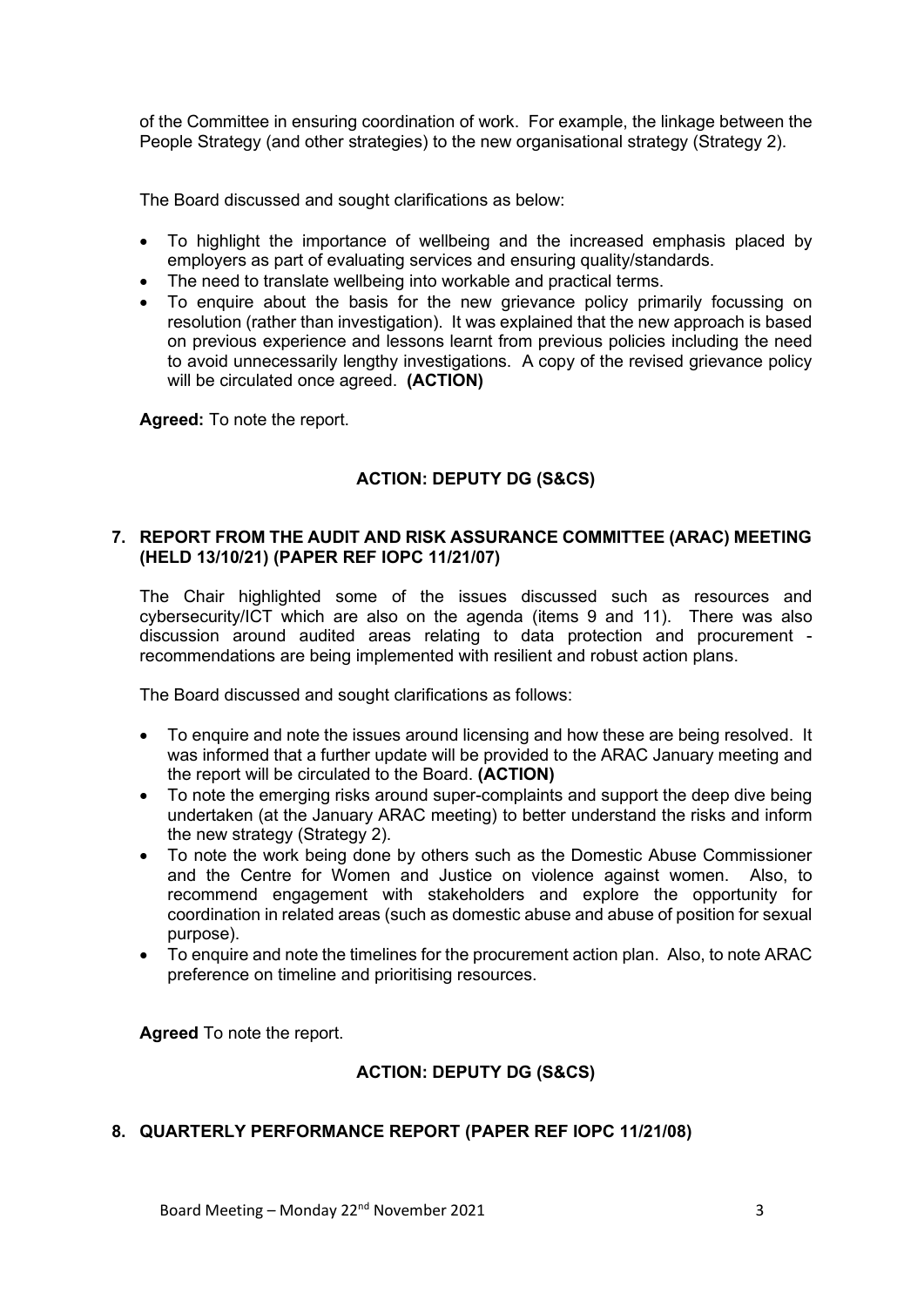of the Committee in ensuring coordination of work. For example, the linkage between the People Strategy (and other strategies) to the new organisational strategy (Strategy 2).

The Board discussed and sought clarifications as below:

- To highlight the importance of wellbeing and the increased emphasis placed by employers as part of evaluating services and ensuring quality/standards.
- The need to translate wellbeing into workable and practical terms.
- To enquire about the basis for the new grievance policy primarily focussing on resolution (rather than investigation). It was explained that the new approach is based on previous experience and lessons learnt from previous policies including the need to avoid unnecessarily lengthy investigations. A copy of the revised grievance policy will be circulated once agreed. **(ACTION)**

**Agreed:** To note the report.

# **ACTION: DEPUTY DG (S&CS)**

#### **7. REPORT FROM THE AUDIT AND RISK ASSURANCE COMMITTEE (ARAC) MEETING (HELD 13/10/21) (PAPER REF IOPC 11/21/07)**

The Chair highlighted some of the issues discussed such as resources and cybersecurity/ICT which are also on the agenda (items 9 and 11). There was also discussion around audited areas relating to data protection and procurement recommendations are being implemented with resilient and robust action plans.

The Board discussed and sought clarifications as follows:

- To enquire and note the issues around licensing and how these are being resolved. It was informed that a further update will be provided to the ARAC January meeting and the report will be circulated to the Board. **(ACTION)**
- To note the emerging risks around super-complaints and support the deep dive being undertaken (at the January ARAC meeting) to better understand the risks and inform the new strategy (Strategy 2).
- To note the work being done by others such as the Domestic Abuse Commissioner and the Centre for Women and Justice on violence against women. Also, to recommend engagement with stakeholders and explore the opportunity for coordination in related areas (such as domestic abuse and abuse of position for sexual purpose).
- To enquire and note the timelines for the procurement action plan. Also, to note ARAC preference on timeline and prioritising resources.

**Agreed** To note the report.

# **ACTION: DEPUTY DG (S&CS)**

# **8. QUARTERLY PERFORMANCE REPORT (PAPER REF IOPC 11/21/08)**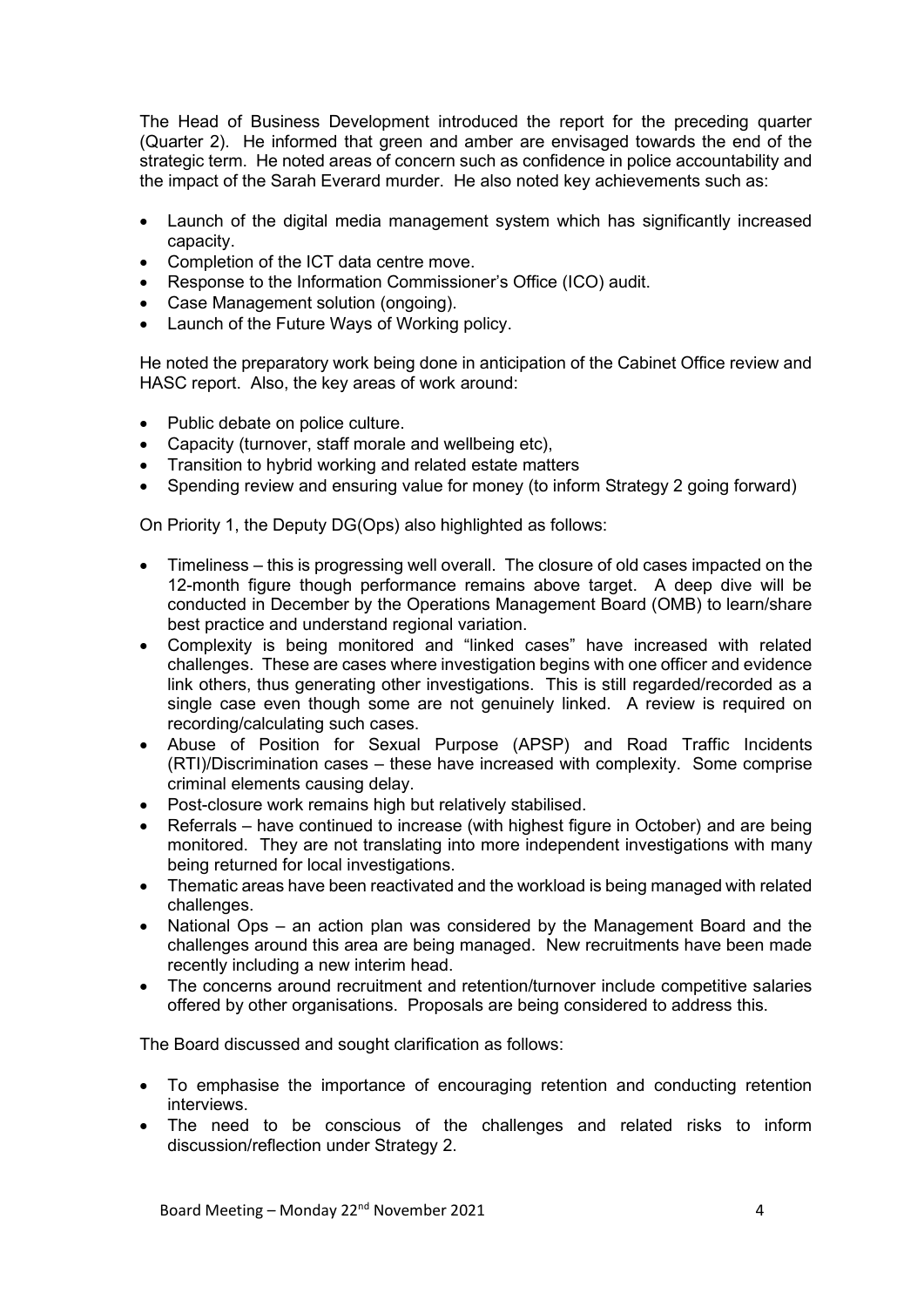The Head of Business Development introduced the report for the preceding quarter (Quarter 2). He informed that green and amber are envisaged towards the end of the strategic term. He noted areas of concern such as confidence in police accountability and the impact of the Sarah Everard murder. He also noted key achievements such as:

- Launch of the digital media management system which has significantly increased capacity.
- Completion of the ICT data centre move.
- Response to the Information Commissioner's Office (ICO) audit.
- Case Management solution (ongoing).
- Launch of the Future Ways of Working policy.

He noted the preparatory work being done in anticipation of the Cabinet Office review and HASC report. Also, the key areas of work around:

- Public debate on police culture.
- Capacity (turnover, staff morale and wellbeing etc),
- Transition to hybrid working and related estate matters
- Spending review and ensuring value for money (to inform Strategy 2 going forward)

On Priority 1, the Deputy DG(Ops) also highlighted as follows:

- Timeliness this is progressing well overall. The closure of old cases impacted on the 12-month figure though performance remains above target. A deep dive will be conducted in December by the Operations Management Board (OMB) to learn/share best practice and understand regional variation.
- Complexity is being monitored and "linked cases" have increased with related challenges. These are cases where investigation begins with one officer and evidence link others, thus generating other investigations. This is still regarded/recorded as a single case even though some are not genuinely linked. A review is required on recording/calculating such cases.
- Abuse of Position for Sexual Purpose (APSP) and Road Traffic Incidents (RTI)/Discrimination cases – these have increased with complexity. Some comprise criminal elements causing delay.
- Post-closure work remains high but relatively stabilised.
- Referrals have continued to increase (with highest figure in October) and are being monitored. They are not translating into more independent investigations with many being returned for local investigations.
- Thematic areas have been reactivated and the workload is being managed with related challenges.
- National Ops an action plan was considered by the Management Board and the challenges around this area are being managed. New recruitments have been made recently including a new interim head.
- The concerns around recruitment and retention/turnover include competitive salaries offered by other organisations. Proposals are being considered to address this.

The Board discussed and sought clarification as follows:

- To emphasise the importance of encouraging retention and conducting retention interviews.
- The need to be conscious of the challenges and related risks to inform discussion/reflection under Strategy 2.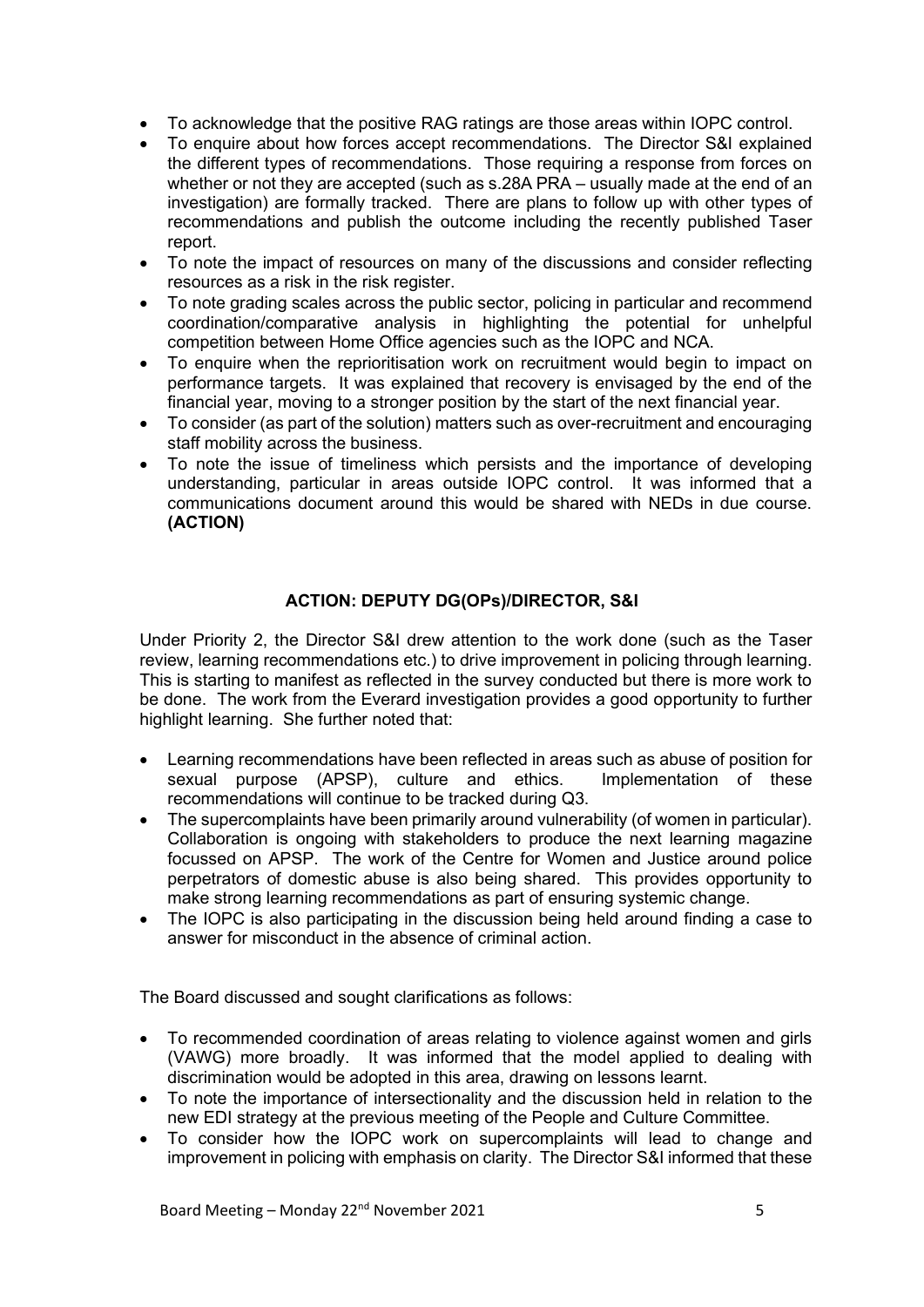- To acknowledge that the positive RAG ratings are those areas within IOPC control.
- To enquire about how forces accept recommendations. The Director S&I explained the different types of recommendations. Those requiring a response from forces on whether or not they are accepted (such as s.28A PRA – usually made at the end of an investigation) are formally tracked. There are plans to follow up with other types of recommendations and publish the outcome including the recently published Taser report.
- To note the impact of resources on many of the discussions and consider reflecting resources as a risk in the risk register.
- To note grading scales across the public sector, policing in particular and recommend coordination/comparative analysis in highlighting the potential for unhelpful competition between Home Office agencies such as the IOPC and NCA.
- To enquire when the reprioritisation work on recruitment would begin to impact on performance targets. It was explained that recovery is envisaged by the end of the financial year, moving to a stronger position by the start of the next financial year.
- To consider (as part of the solution) matters such as over-recruitment and encouraging staff mobility across the business.
- To note the issue of timeliness which persists and the importance of developing understanding, particular in areas outside IOPC control. It was informed that a communications document around this would be shared with NEDs in due course. **(ACTION)**

# **ACTION: DEPUTY DG(OPs)/DIRECTOR, S&I**

Under Priority 2, the Director S&I drew attention to the work done (such as the Taser review, learning recommendations etc.) to drive improvement in policing through learning. This is starting to manifest as reflected in the survey conducted but there is more work to be done. The work from the Everard investigation provides a good opportunity to further highlight learning. She further noted that:

- Learning recommendations have been reflected in areas such as abuse of position for sexual purpose (APSP), culture and ethics. Implementation of these recommendations will continue to be tracked during Q3.
- The supercomplaints have been primarily around vulnerability (of women in particular). Collaboration is ongoing with stakeholders to produce the next learning magazine focussed on APSP. The work of the Centre for Women and Justice around police perpetrators of domestic abuse is also being shared. This provides opportunity to make strong learning recommendations as part of ensuring systemic change.
- The IOPC is also participating in the discussion being held around finding a case to answer for misconduct in the absence of criminal action.

The Board discussed and sought clarifications as follows:

- To recommended coordination of areas relating to violence against women and girls (VAWG) more broadly. It was informed that the model applied to dealing with discrimination would be adopted in this area, drawing on lessons learnt.
- To note the importance of intersectionality and the discussion held in relation to the new EDI strategy at the previous meeting of the People and Culture Committee.
- To consider how the IOPC work on supercomplaints will lead to change and improvement in policing with emphasis on clarity. The Director S&I informed that these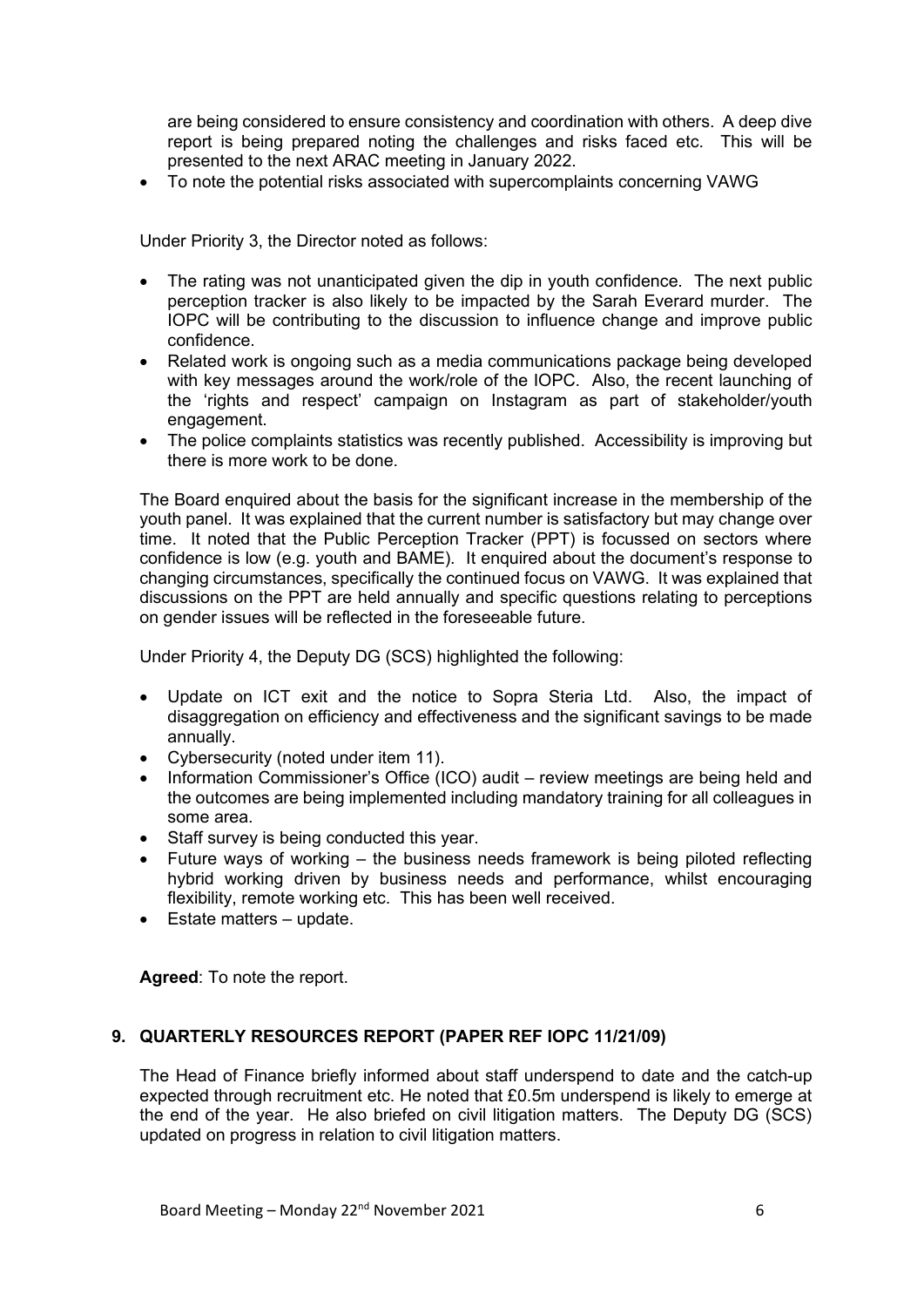are being considered to ensure consistency and coordination with others. A deep dive report is being prepared noting the challenges and risks faced etc. This will be presented to the next ARAC meeting in January 2022.

• To note the potential risks associated with supercomplaints concerning VAWG

Under Priority 3, the Director noted as follows:

- The rating was not unanticipated given the dip in youth confidence. The next public perception tracker is also likely to be impacted by the Sarah Everard murder. The IOPC will be contributing to the discussion to influence change and improve public confidence.
- Related work is ongoing such as a media communications package being developed with key messages around the work/role of the IOPC. Also, the recent launching of the 'rights and respect' campaign on Instagram as part of stakeholder/youth engagement.
- The police complaints statistics was recently published. Accessibility is improving but there is more work to be done.

The Board enquired about the basis for the significant increase in the membership of the youth panel. It was explained that the current number is satisfactory but may change over time. It noted that the Public Perception Tracker (PPT) is focussed on sectors where confidence is low (e.g. youth and BAME). It enquired about the document's response to changing circumstances, specifically the continued focus on VAWG. It was explained that discussions on the PPT are held annually and specific questions relating to perceptions on gender issues will be reflected in the foreseeable future.

Under Priority 4, the Deputy DG (SCS) highlighted the following:

- Update on ICT exit and the notice to Sopra Steria Ltd. Also, the impact of disaggregation on efficiency and effectiveness and the significant savings to be made annually.
- Cybersecurity (noted under item 11).
- Information Commissioner's Office (ICO) audit review meetings are being held and the outcomes are being implemented including mandatory training for all colleagues in some area.
- Staff survey is being conducted this year.
- Future ways of working the business needs framework is being piloted reflecting hybrid working driven by business needs and performance, whilst encouraging flexibility, remote working etc. This has been well received.
- Estate matters update.

**Agreed**: To note the report.

# **9. QUARTERLY RESOURCES REPORT (PAPER REF IOPC 11/21/09)**

The Head of Finance briefly informed about staff underspend to date and the catch-up expected through recruitment etc. He noted that £0.5m underspend is likely to emerge at the end of the year. He also briefed on civil litigation matters. The Deputy DG (SCS) updated on progress in relation to civil litigation matters.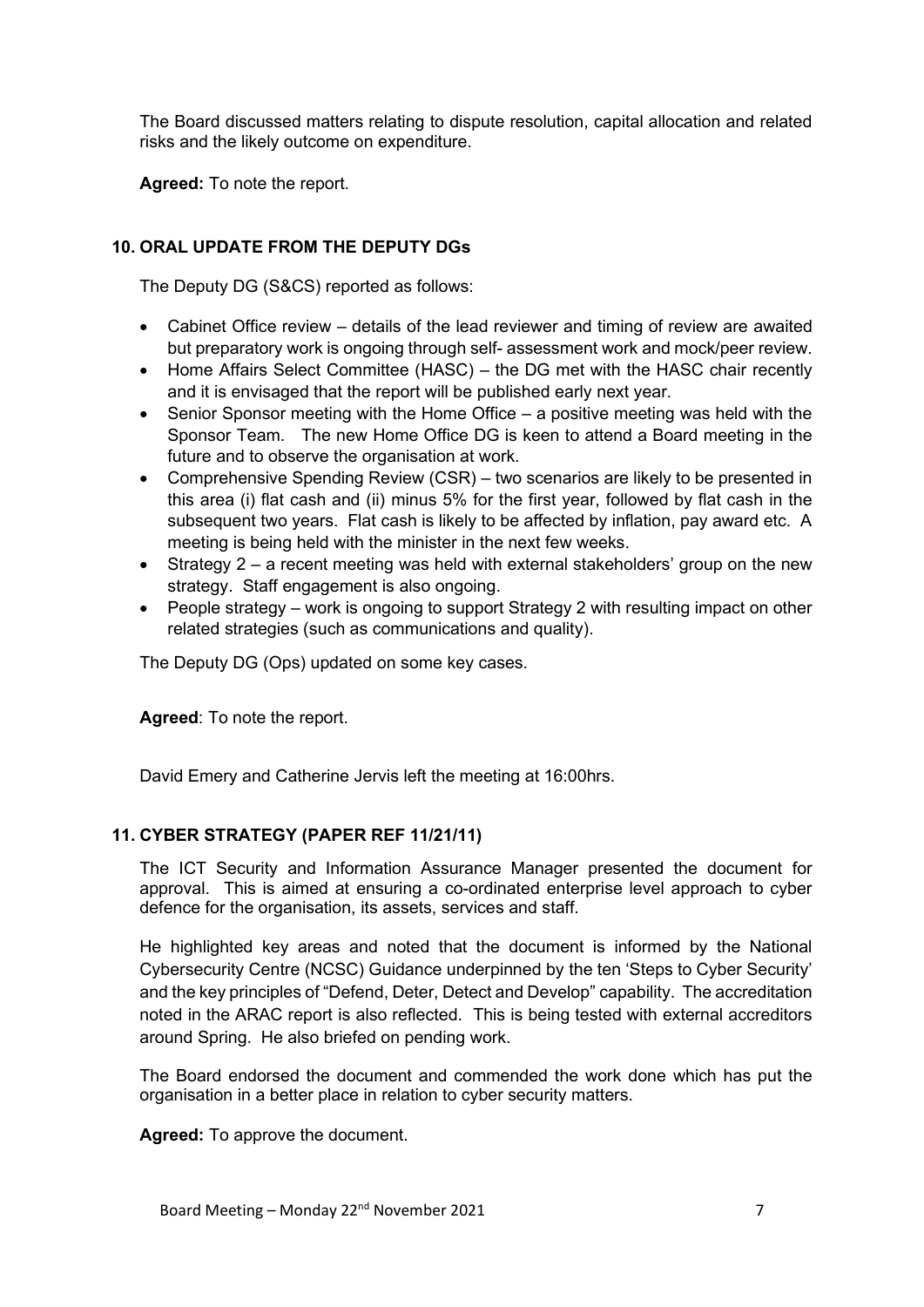The Board discussed matters relating to dispute resolution, capital allocation and related risks and the likely outcome on expenditure.

**Agreed:** To note the report.

# **10. ORAL UPDATE FROM THE DEPUTY DGs**

The Deputy DG (S&CS) reported as follows:

- Cabinet Office review details of the lead reviewer and timing of review are awaited but preparatory work is ongoing through self- assessment work and mock/peer review.
- Home Affairs Select Committee (HASC) the DG met with the HASC chair recently and it is envisaged that the report will be published early next year.
- Senior Sponsor meeting with the Home Office  $-$  a positive meeting was held with the Sponsor Team. The new Home Office DG is keen to attend a Board meeting in the future and to observe the organisation at work.
- Comprehensive Spending Review (CSR) two scenarios are likely to be presented in this area (i) flat cash and (ii) minus 5% for the first year, followed by flat cash in the subsequent two years. Flat cash is likely to be affected by inflation, pay award etc. A meeting is being held with the minister in the next few weeks.
- Strategy 2 a recent meeting was held with external stakeholders' group on the new strategy. Staff engagement is also ongoing.
- People strategy work is ongoing to support Strategy 2 with resulting impact on other related strategies (such as communications and quality).

The Deputy DG (Ops) updated on some key cases.

**Agreed**: To note the report.

David Emery and Catherine Jervis left the meeting at 16:00hrs.

# **11. CYBER STRATEGY (PAPER REF 11/21/11)**

The ICT Security and Information Assurance Manager presented the document for approval. This is aimed at ensuring a co-ordinated enterprise level approach to cyber defence for the organisation, its assets, services and staff.

He highlighted key areas and noted that the document is informed by the National Cybersecurity Centre (NCSC) Guidance underpinned by the ten 'Steps to Cyber Security' and the key principles of "Defend, Deter, Detect and Develop" capability. The accreditation noted in the ARAC report is also reflected. This is being tested with external accreditors around Spring. He also briefed on pending work.

The Board endorsed the document and commended the work done which has put the organisation in a better place in relation to cyber security matters.

**Agreed:** To approve the document.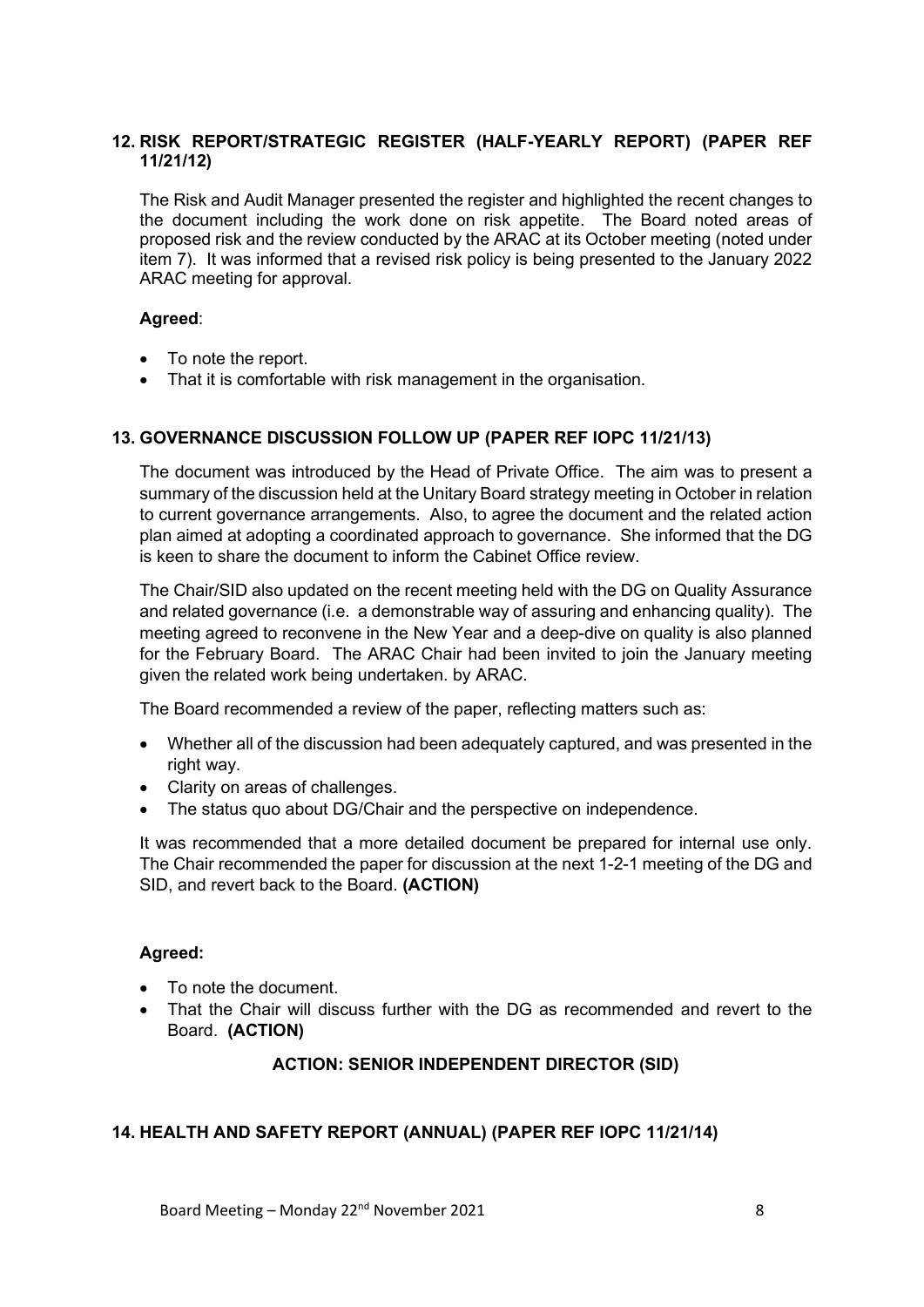# **12. RISK REPORT/STRATEGIC REGISTER (HALF-YEARLY REPORT) (PAPER REF 11/21/12)**

The Risk and Audit Manager presented the register and highlighted the recent changes to the document including the work done on risk appetite. The Board noted areas of proposed risk and the review conducted by the ARAC at its October meeting (noted under item 7). It was informed that a revised risk policy is being presented to the January 2022 ARAC meeting for approval.

# **Agreed**:

- To note the report.
- That it is comfortable with risk management in the organisation.

# **13. GOVERNANCE DISCUSSION FOLLOW UP (PAPER REF IOPC 11/21/13)**

The document was introduced by the Head of Private Office. The aim was to present a summary of the discussion held at the Unitary Board strategy meeting in October in relation to current governance arrangements. Also, to agree the document and the related action plan aimed at adopting a coordinated approach to governance. She informed that the DG is keen to share the document to inform the Cabinet Office review.

The Chair/SID also updated on the recent meeting held with the DG on Quality Assurance and related governance (i.e. a demonstrable way of assuring and enhancing quality). The meeting agreed to reconvene in the New Year and a deep-dive on quality is also planned for the February Board. The ARAC Chair had been invited to join the January meeting given the related work being undertaken. by ARAC.

The Board recommended a review of the paper, reflecting matters such as:

- Whether all of the discussion had been adequately captured, and was presented in the right way.
- Clarity on areas of challenges.
- The status quo about DG/Chair and the perspective on independence.

It was recommended that a more detailed document be prepared for internal use only. The Chair recommended the paper for discussion at the next 1-2-1 meeting of the DG and SID, and revert back to the Board. **(ACTION)**

# **Agreed:**

- To note the document.
- That the Chair will discuss further with the DG as recommended and revert to the Board. **(ACTION)**

# **ACTION: SENIOR INDEPENDENT DIRECTOR (SID)**

# **14. HEALTH AND SAFETY REPORT (ANNUAL) (PAPER REF IOPC 11/21/14)**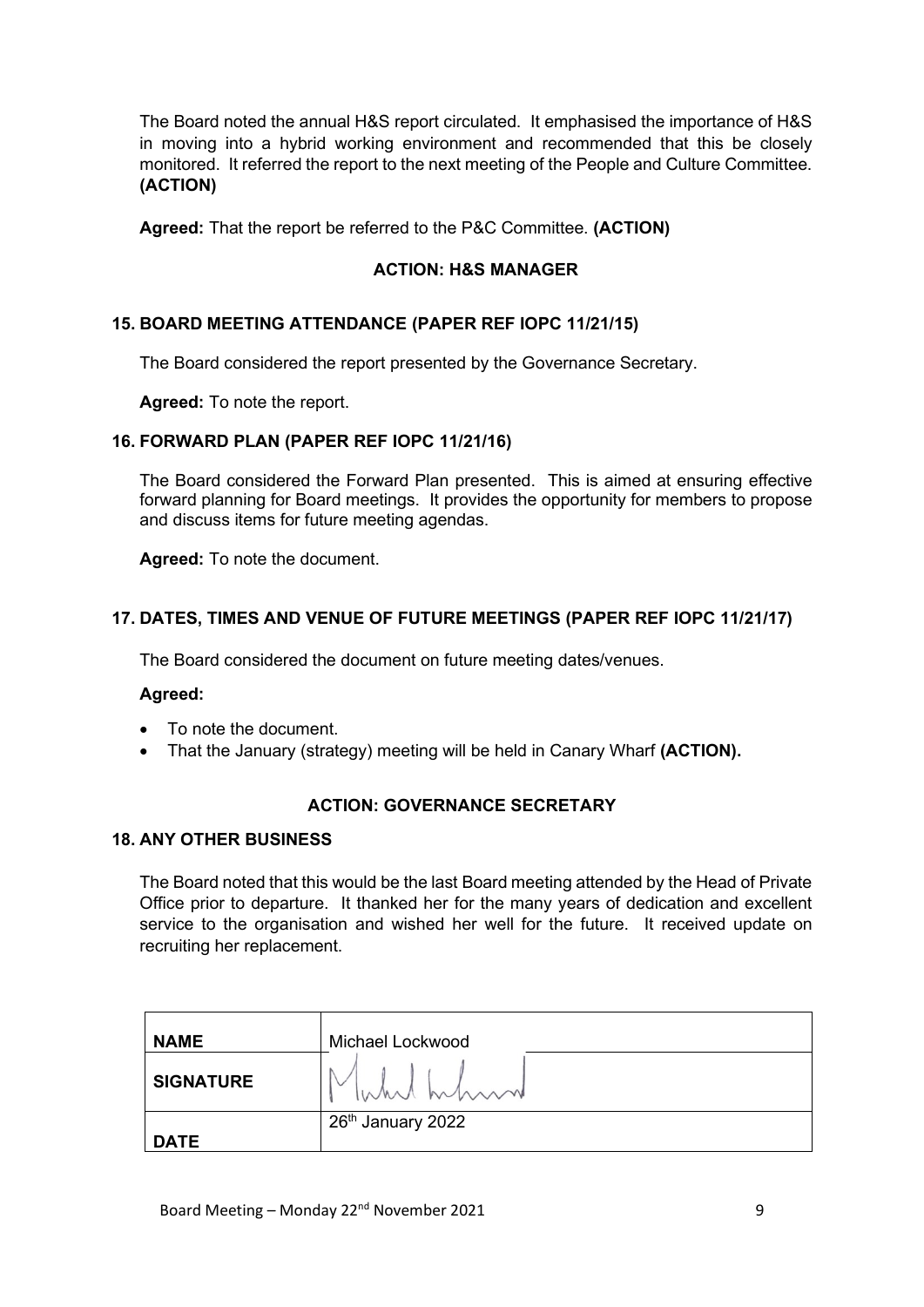The Board noted the annual H&S report circulated. It emphasised the importance of H&S in moving into a hybrid working environment and recommended that this be closely monitored. It referred the report to the next meeting of the People and Culture Committee. **(ACTION)**

**Agreed:** That the report be referred to the P&C Committee. **(ACTION)**

# **ACTION: H&S MANAGER**

# **15. BOARD MEETING ATTENDANCE (PAPER REF IOPC 11/21/15)**

The Board considered the report presented by the Governance Secretary.

**Agreed:** To note the report.

# **16. FORWARD PLAN (PAPER REF IOPC 11/21/16)**

The Board considered the Forward Plan presented. This is aimed at ensuring effective forward planning for Board meetings. It provides the opportunity for members to propose and discuss items for future meeting agendas.

**Agreed:** To note the document.

# **17. DATES, TIMES AND VENUE OF FUTURE MEETINGS (PAPER REF IOPC 11/21/17)**

The Board considered the document on future meeting dates/venues.

#### **Agreed:**

- To note the document.
- That the January (strategy) meeting will be held in Canary Wharf **(ACTION).**

#### **ACTION: GOVERNANCE SECRETARY**

#### **18. ANY OTHER BUSINESS**

The Board noted that this would be the last Board meeting attended by the Head of Private Office prior to departure. It thanked her for the many years of dedication and excellent service to the organisation and wished her well for the future. It received update on recruiting her replacement.

| <b>NAME</b>      | Michael Lockwood              |
|------------------|-------------------------------|
| <b>SIGNATURE</b> | White hilson                  |
|                  | 26 <sup>th</sup> January 2022 |
| <b>DATE</b>      |                               |